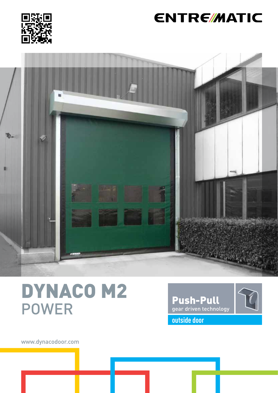

## **ENTRE/MATIC**



# DYNACO M2 POWER



www.dynacodoor.com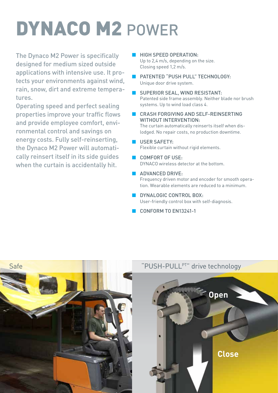# DYNACO M2 POWER

The Dynaco M2 Power is specifically designed for medium sized outside applications with intensive use. It protects your environments against wind, rain, snow, dirt and extreme temperatures.

Operating speed and perfect sealing properties improve your traffic flows and provide employee comfort, environmental control and savings on energy costs. Fully self-reinserting, the Dynaco M2 Power will automatically reinsert itself in its side guides when the curtain is accidentally hit.

- HIGH SPEED OPERATION· Up to 2,4 m/s, depending on the size. Closing speed 1,2 m/s.
- PATENTED "PUSH PULL" TECHNOLOGY: Unique door drive system.
- SUPERIOR SEAL, WIND RESISTANT: Patented side frame assembly. Neither blade nor brush systems. Up to wind load class 4.
- CRASH FORGIVING AND SELF-REINSERTING WITHOUT INTERVENTION: The curtain automatically reinserts itself when dislodged. No repair costs, no production downtime.

#### **USER SAFETY:** Flexible curtain without rigid elements.

- COMFORT OF USE· DYNACO wireless detector at the bottom.
- **ADVANCED DRIVE:** Frequency driven motor and encoder for smooth operation. Wearable elements are reduced to a minimum.
- **DYNALOGIC CONTROL BOX:** User-friendly control box with self-diagnosis.
- CONFORM TO EN13241-1



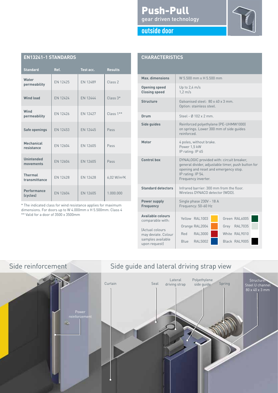| EN 1944 FED IANDANDJ            |                 |                 |                         |
|---------------------------------|-----------------|-----------------|-------------------------|
| <b>Standard</b>                 | Ref.            | Test acc.       | <b>Results</b>          |
| Water<br>permeability           | EN 12425        | EN 12489        | Class <sub>2</sub>      |
| <b>Wind load</b>                | EN 12424        | EN 12444        | $Class 3*$              |
| Wind<br>permeability            | EN 12426        | EN 12427        | $Class 1**$             |
| Safe openings                   | EN 12453        | EN 12445        | Pass                    |
| Mechanical<br>resistance        | FN 12604        | EN 12605        | Pass                    |
| <b>Unintended</b><br>movements  | EN 12604        | EN 12605        | Pass                    |
| <b>Thermal</b><br>transmittance | <b>EN 12428</b> | <b>EN 12428</b> | 6,02 W/m <sup>2</sup> K |
| Performance<br>(cycles)         | EN 12604        | EN 12605        | 1.000.000               |

\* The indicated class for wind resistance applies for maximum dimensions. For doors up to W 4.000mm x H 5.500mm: Class 4

\*\* Valid for a door of 3500 x 3500mm

**EN13241-1 STANDARDS**

### Push-Pull gear driven technology





#### **CHARACTERISTICS**

| Max. dimensions                                             | W 5 500 mm x H 5 500 mm                                                                                                                                                              |  |  |
|-------------------------------------------------------------|--------------------------------------------------------------------------------------------------------------------------------------------------------------------------------------|--|--|
| <b>Opening speed</b><br><b>Closing speed</b>                | Up to $2,4$ m/s<br>$1.2 \text{ m/s}$                                                                                                                                                 |  |  |
| <b>Structure</b>                                            | Galvanised steel: 80 x 40 x 3 mm.<br>Option: stainless steel.                                                                                                                        |  |  |
| Drum                                                        | Steel - $0.102 \times 2$ mm                                                                                                                                                          |  |  |
| Side guides                                                 | Reinforced polyethylene (PE-UHMW1000)<br>on springs. Lower 300 mm of side guides<br>reinforced                                                                                       |  |  |
| Motor                                                       | 4 poles, without brake.<br>Power 1,5 kW<br>IP rating: IP 65                                                                                                                          |  |  |
| <b>Control box</b>                                          | DYNALOGIC provided with: circuit breaker,<br>general divider, adjustable timer, push button for<br>opening and reset and emergency stop.<br>IP rating: IP 54.<br>Frequency inverter. |  |  |
| <b>Standard detectors</b>                                   | Infrared barrier: 300 mm from the floor.<br>Wireless DYNACO detector (WDD).                                                                                                          |  |  |
| <b>Power supply</b><br><b>Frequency</b>                     | Single phase 230V - 18 A<br>Frequency: 50-60 Hz                                                                                                                                      |  |  |
| <b>Available colours</b><br>comparable with:                | Yellow RAI 1003<br>Green RAL6005                                                                                                                                                     |  |  |
| (Actual colours<br>may deviate. Colour<br>samples available | Orange RAL2004<br>Grey RAL7035<br><b>RAL3000</b><br>White RAI 9010<br>Red<br>Blue RAL5002<br>Black RAL9005                                                                           |  |  |
| upon request)                                               |                                                                                                                                                                                      |  |  |



## Side reinforcement Side guide and lateral driving strap view